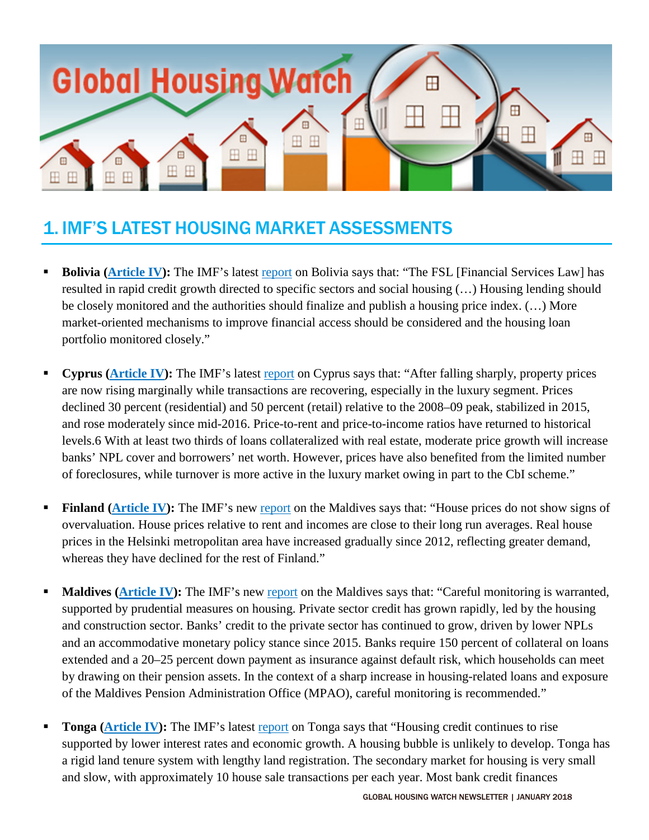

# 1. IMF'S LATEST HOUSING MARKET ASSESSMENTS

- **Bolivia [\(Article IV\)](http://unassumingeconomist.com/2017/12/housing-in-bolivia/):** The IMF's latest [report](http://www.imf.org/%7E/media/Files/Publications/CR/2017/cr17395-BoliviaBundle.ashx) on Bolivia says that: "The FSL [Financial Services Law] has resulted in rapid credit growth directed to specific sectors and social housing (…) Housing lending should be closely monitored and the authorities should finalize and publish a housing price index. (…) More market-oriented mechanisms to improve financial access should be considered and the housing loan portfolio monitored closely."
- **Cyprus [\(Article IV\)](http://unassumingeconomist.com/2017/12/house-prices-in-cyprus-2/):** The IMF's latest [report](http://www.imf.org/%7E/media/Files/Publications/CR/2017/cr17375.ashx) on Cyprus says that: "After falling sharply, property prices are now rising marginally while transactions are recovering, especially in the luxury segment. Prices declined 30 percent (residential) and 50 percent (retail) relative to the 2008–09 peak, stabilized in 2015, and rose moderately since mid-2016. Price-to-rent and price-to-income ratios have returned to historical levels.6 With at least two thirds of loans collateralized with real estate, moderate price growth will increase banks' NPL cover and borrowers' net worth. However, prices have also benefited from the limited number of foreclosures, while turnover is more active in the luxury market owing in part to the CbI scheme."
- **Finland [\(Article IV\)](http://unassumingeconomist.com/2017/12/housing-market-in-finland/)**: The IMF's new [report](http://www.imf.org/%7E/media/Files/Publications/CR/2017/cr17370.ashx) on the Maldives says that: "House prices do not show signs of overvaluation. House prices relative to rent and incomes are close to their long run averages. Real house prices in the Helsinki metropolitan area have increased gradually since 2012, reflecting greater demand, whereas they have declined for the rest of Finland."
- **Maldives [\(Article IV\)](http://unassumingeconomist.com/2017/12/housing-in-the-maldives/):** The IMF's new [report](http://www.imf.org/%7E/media/Files/Publications/CR/2017/cr17357.ashx) on the Maldives says that: "Careful monitoring is warranted, supported by prudential measures on housing. Private sector credit has grown rapidly, led by the housing and construction sector. Banks' credit to the private sector has continued to grow, driven by lower NPLs and an accommodative monetary policy stance since 2015. Banks require 150 percent of collateral on loans extended and a 20–25 percent down payment as insurance against default risk, which households can meet by drawing on their pension assets. In the context of a sharp increase in housing-related loans and exposure of the Maldives Pension Administration Office (MPAO), careful monitoring is recommended."
- **Tonga [\(Article IV\)](http://unassumingeconomist.com/2018/01/tongas-housing-sector/):** The IMF's latest [report](http://www.imf.org/%7E/media/Files/Publications/CR/2018/cr1812.ashx) on Tonga says that "Housing credit continues to rise supported by lower interest rates and economic growth. A housing bubble is unlikely to develop. Tonga has a rigid land tenure system with lengthy land registration. The secondary market for housing is very small and slow, with approximately 10 house sale transactions per each year. Most bank credit finances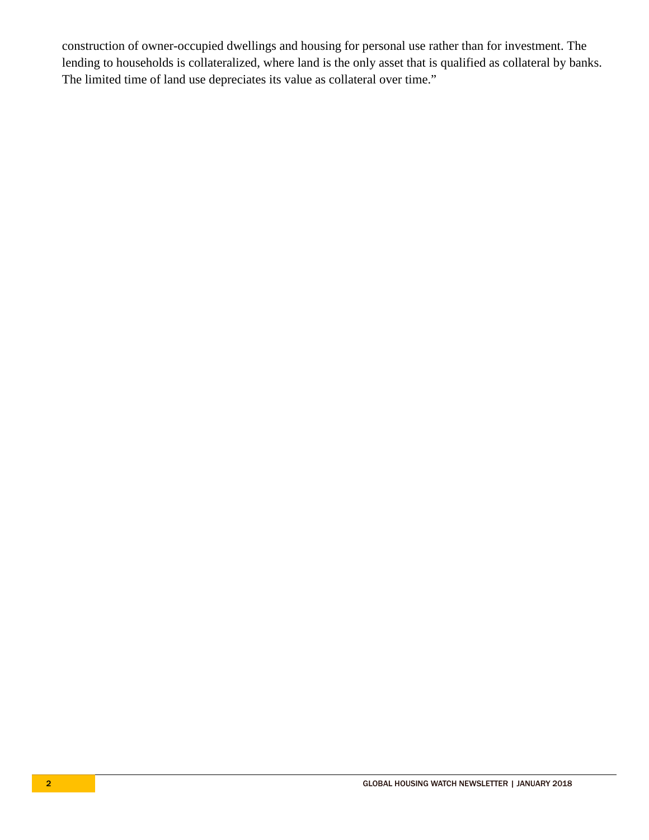construction of owner-occupied dwellings and housing for personal use rather than for investment. The lending to households is collateralized, where land is the only asset that is qualified as collateral by banks. The limited time of land use depreciates its value as collateral over time."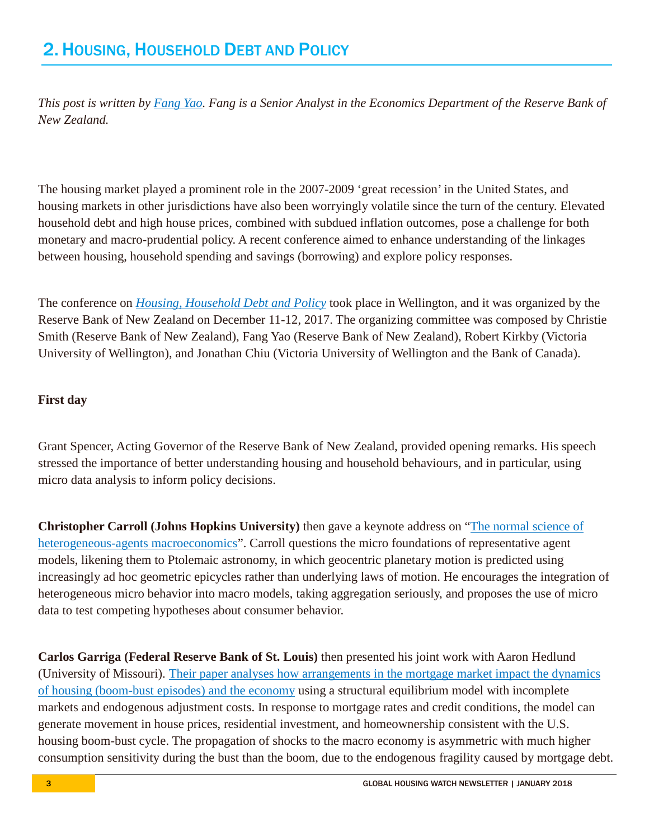*This post is written by [Fang Yao.](https://www.rbnz.govt.nz/research-and-publications/research-programme/research-staff-profiles/fang-yao) Fang is a Senior Analyst in the Economics Department of the Reserve Bank of New Zealand.* 

The housing market played a prominent role in the 2007-2009 'great recession' in the United States, and housing markets in other jurisdictions have also been worryingly volatile since the turn of the century. Elevated household debt and high house prices, combined with subdued inflation outcomes, pose a challenge for both monetary and macro-prudential policy. A recent conference aimed to enhance understanding of the linkages between housing, household spending and savings (borrowing) and explore policy responses.

The conference on *[Housing, Household Debt and Policy](https://www.rbnz.govt.nz/research-and-publications/seminars-and-workshops/housing-household-debt-and-policy)* took place in Wellington, and it was organized by the Reserve Bank of New Zealand on December 11-12, 2017. The organizing committee was composed by Christie Smith (Reserve Bank of New Zealand), Fang Yao (Reserve Bank of New Zealand), Robert Kirkby (Victoria University of Wellington), and Jonathan Chiu (Victoria University of Wellington and the Bank of Canada).

### **First day**

Grant Spencer, Acting Governor of the Reserve Bank of New Zealand, provided opening remarks. His speech stressed the importance of better understanding housing and household behaviours, and in particular, using micro data analysis to inform policy decisions.

**Christopher Carroll (Johns Hopkins University)** then gave a keynote address on ["The normal science of](https://www.rbnz.govt.nz/-/media/ReserveBank/Files/Publications/Seminars%20and%20workshops/Housing-household-debt-and-policy-conference-2017/Session%20pdfs/Session%201%20The%20Normal%20ScienceChristopher%20Carrollpdf.pdf?la=en)  [heterogeneous-agents macroeconomics"](https://www.rbnz.govt.nz/-/media/ReserveBank/Files/Publications/Seminars%20and%20workshops/Housing-household-debt-and-policy-conference-2017/Session%20pdfs/Session%201%20The%20Normal%20ScienceChristopher%20Carrollpdf.pdf?la=en). Carroll questions the micro foundations of representative agent models, likening them to Ptolemaic astronomy, in which geocentric planetary motion is predicted using increasingly ad hoc geometric epicycles rather than underlying laws of motion. He encourages the integration of heterogeneous micro behavior into macro models, taking aggregation seriously, and proposes the use of micro data to test competing hypotheses about consumer behavior.

**Carlos Garriga (Federal Reserve Bank of St. Louis)** then presented his joint work with Aaron Hedlund (University of Missouri). [Their paper analyses how arrangements in the mortgage market impact the dynamics](https://www.rbnz.govt.nz/-/media/ReserveBank/Files/Publications/Seminars%20and%20workshops/Housing-household-debt-and-policy-conference-2017/Session%20pdfs/Session%202%20Housing%20Finance%20BoomBust%20Episodes%20and%20the%20MacroeconomyCarlos%20Garriga.pdf?la=en)  [of housing \(boom-bust episodes\) and the economy](https://www.rbnz.govt.nz/-/media/ReserveBank/Files/Publications/Seminars%20and%20workshops/Housing-household-debt-and-policy-conference-2017/Session%20pdfs/Session%202%20Housing%20Finance%20BoomBust%20Episodes%20and%20the%20MacroeconomyCarlos%20Garriga.pdf?la=en) using a structural equilibrium model with incomplete markets and endogenous adjustment costs. In response to mortgage rates and credit conditions, the model can generate movement in house prices, residential investment, and homeownership consistent with the U.S. housing boom-bust cycle. The propagation of shocks to the macro economy is asymmetric with much higher consumption sensitivity during the bust than the boom, due to the endogenous fragility caused by mortgage debt.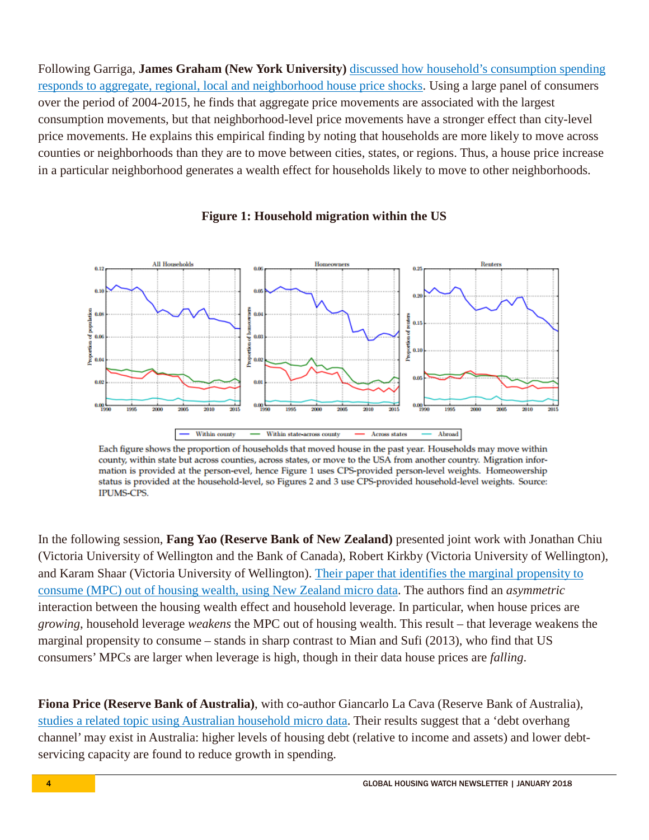Following Garriga, **James Graham (New York University)** [discussed how household's consumption spending](https://www.rbnz.govt.nz/-/media/ReserveBank/Files/Publications/Seminars%20and%20workshops/Housing-household-debt-and-policy-conference-2017/Session%20pdfs/Session%202_Consumption%20Responses%20To%20House%20Price%20Heterogeneity_James%20Graham.pdf?la=en)  [responds to aggregate, regional, local and neighborhood house price shocks.](https://www.rbnz.govt.nz/-/media/ReserveBank/Files/Publications/Seminars%20and%20workshops/Housing-household-debt-and-policy-conference-2017/Session%20pdfs/Session%202_Consumption%20Responses%20To%20House%20Price%20Heterogeneity_James%20Graham.pdf?la=en) Using a large panel of consumers over the period of 2004-2015, he finds that aggregate price movements are associated with the largest consumption movements, but that neighborhood-level price movements have a stronger effect than city-level price movements. He explains this empirical finding by noting that households are more likely to move across counties or neighborhoods than they are to move between cities, states, or regions. Thus, a house price increase in a particular neighborhood generates a wealth effect for households likely to move to other neighborhoods.



#### **Figure 1: Household migration within the US**

Each figure shows the proportion of households that moved house in the past year. Households may move within county, within state but across counties, across states, or move to the USA from another country. Migration information is provided at the person-evel, hence Figure 1 uses CPS-provided person-level weights. Homeowership status is provided at the household-level, so Figures 2 and 3 use CPS-provided household-level weights. Source: **IPUMS-CPS.** 

In the following session, **Fang Yao (Reserve Bank of New Zealand)** presented joint work with Jonathan Chiu (Victoria University of Wellington and the Bank of Canada), Robert Kirkby (Victoria University of Wellington), and Karam Shaar (Victoria University of Wellington). [Their paper that identifies the marginal propensity to](https://www.rbnz.govt.nz/-/media/ReserveBank/Files/Publications/Seminars%20and%20workshops/Housing-household-debt-and-policy-conference-2017/Session%20pdfs/Session%203_Household%20Leverage%20and%20the%20Housing%20Wealth%20Effect_Fang%20Yao.pdf?la=en)  [consume \(MPC\) out of housing wealth, using New Zealand micro data.](https://www.rbnz.govt.nz/-/media/ReserveBank/Files/Publications/Seminars%20and%20workshops/Housing-household-debt-and-policy-conference-2017/Session%20pdfs/Session%203_Household%20Leverage%20and%20the%20Housing%20Wealth%20Effect_Fang%20Yao.pdf?la=en) The authors find an *asymmetric* interaction between the housing wealth effect and household leverage. In particular, when house prices are *growing*, household leverage *weakens* the MPC out of housing wealth. This result – that leverage weakens the marginal propensity to consume – stands in sharp contrast to Mian and Sufi (2013), who find that US consumers' MPCs are larger when leverage is high, though in their data house prices are *falling*.

**Fiona Price (Reserve Bank of Australia)**, with co-author Giancarlo La Cava (Reserve Bank of Australia), [studies a related topic using Australian household micro data.](https://www.rbnz.govt.nz/-/media/ReserveBank/Files/Publications/Seminars%20and%20workshops/Housing-household-debt-and-policy-conference-2017/Session%20pdfs/Session%203_The%20Effect%20of%20Higher%20Household%20Debt%20Levels%20on%20Spending%20Behaviour%20in%20Australia_Fiona%20Price.pdf?la=en) Their results suggest that a 'debt overhang channel' may exist in Australia: higher levels of housing debt (relative to income and assets) and lower debtservicing capacity are found to reduce growth in spending.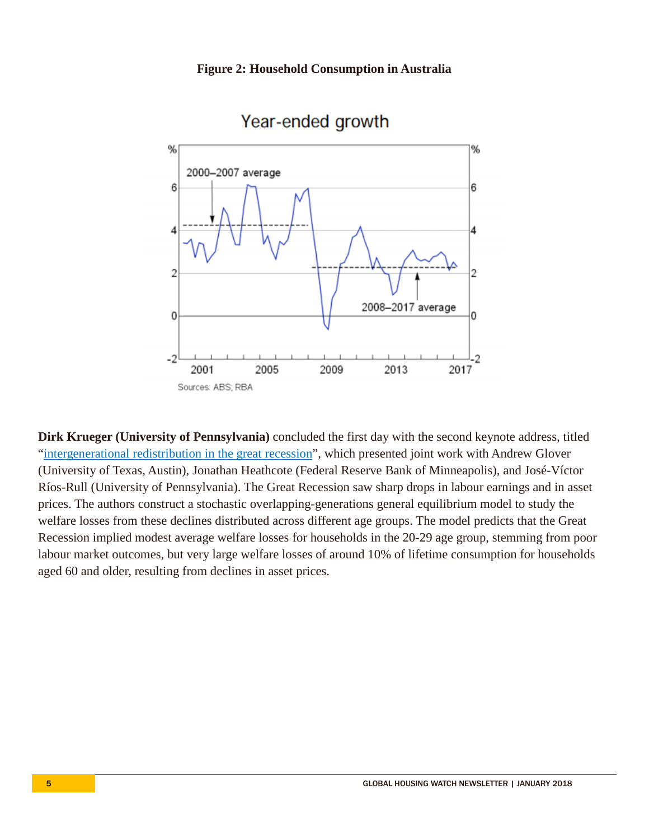

# Year-ended growth

**Dirk Krueger (University of Pennsylvania)** concluded the first day with the second keynote address, titled ["intergenerational redistribution in the great recession"](https://www.rbnz.govt.nz/-/media/ReserveBank/Files/Publications/Seminars%20and%20workshops/Housing-household-debt-and-policy-conference-2017/Session%20pdfs/Session%204_Intergenerational%20Redistribution%20in%20the%20Great%20Recession_Dirk%20Krueger.pdf?la=en), which presented joint work with Andrew Glover (University of Texas, Austin), Jonathan Heathcote (Federal Reserve Bank of Minneapolis), and José-Víctor Ríos-Rull (University of Pennsylvania). The Great Recession saw sharp drops in labour earnings and in asset prices. The authors construct a stochastic overlapping-generations general equilibrium model to study the welfare losses from these declines distributed across different age groups. The model predicts that the Great Recession implied modest average welfare losses for households in the 20-29 age group, stemming from poor labour market outcomes, but very large welfare losses of around 10% of lifetime consumption for households aged 60 and older, resulting from declines in asset prices.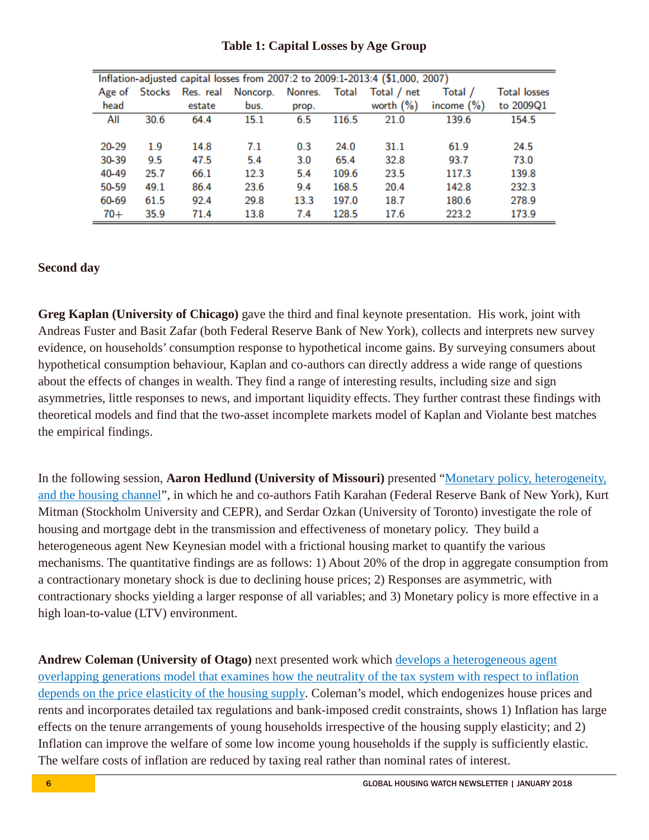| Inflation-adjusted capital losses from 2007:2 to 2009:1-2013:4 (\$1,000, 2007) |        |           |          |         |       |              |               |              |
|--------------------------------------------------------------------------------|--------|-----------|----------|---------|-------|--------------|---------------|--------------|
| Age of                                                                         | Stocks | Res. real | Noncorp. | Nonres. | Total | Total / net  | Total /       | Total losses |
| head                                                                           |        | estate    | bus.     | prop.   |       | worth $(\%)$ | income $(\%)$ | to 2009Q1    |
| All                                                                            | 30.6   | 64.4      | 15.1     | 6.5     | 116.5 | 21.0         | 139.6         | 154.5        |
|                                                                                |        |           |          |         |       |              |               |              |
| 20-29                                                                          | 1.9    | 14.8      | 7.1      | 0.3     | 24.0  | 31.1         | 61.9          | 24.5         |
| 30-39                                                                          | 9.5    | 47.5      | 5.4      | 3.0     | 65.4  | 32.8         | 93.7          | 73.0         |
| 40-49                                                                          | 25.7   | 66.1      | 12.3     | 5.4     | 109.6 | 23.5         | 117.3         | 139.8        |
| 50-59                                                                          | 49.1   | 86.4      | 23.6     | 9.4     | 168.5 | 20.4         | 142.8         | 232.3        |
| 60-69                                                                          | 61.5   | 92.4      | 29.8     | 13.3    | 197.0 | 18.7         | 180.6         | 278.9        |
| $70+$                                                                          | 35.9   | 71.4      | 13.8     | 7.4     | 128.5 | 17.6         | 223.2         | 173.9        |

## **Table 1: Capital Losses by Age Group**

#### **Second day**

**Greg Kaplan (University of Chicago)** gave the third and final keynote presentation. His work, joint with Andreas Fuster and Basit Zafar (both Federal Reserve Bank of New York), collects and interprets new survey evidence, on households' consumption response to hypothetical income gains. By surveying consumers about hypothetical consumption behaviour, Kaplan and co-authors can directly address a wide range of questions about the effects of changes in wealth. They find a range of interesting results, including size and sign asymmetries, little responses to news, and important liquidity effects. They further contrast these findings with theoretical models and find that the two-asset incomplete markets model of Kaplan and Violante best matches the empirical findings.

In the following session, **Aaron Hedlund (University of Missouri)** presented ["Monetary policy, heterogeneity,](https://www.rbnz.govt.nz/-/media/ReserveBank/Files/Publications/Seminars%20and%20workshops/Housing-household-debt-and-policy-conference-2017/Session%20pdfs/Session%206Monetary%20Policy%20Heterogeneity%20and%20the%20Housing%20ChannelAaron%20Hedlund.pdf?la=en)  [and the housing channel"](https://www.rbnz.govt.nz/-/media/ReserveBank/Files/Publications/Seminars%20and%20workshops/Housing-household-debt-and-policy-conference-2017/Session%20pdfs/Session%206Monetary%20Policy%20Heterogeneity%20and%20the%20Housing%20ChannelAaron%20Hedlund.pdf?la=en), in which he and co-authors Fatih Karahan (Federal Reserve Bank of New York), Kurt Mitman (Stockholm University and CEPR), and Serdar Ozkan (University of Toronto) investigate the role of housing and mortgage debt in the transmission and effectiveness of monetary policy. They build a heterogeneous agent New Keynesian model with a frictional housing market to quantify the various mechanisms. The quantitative findings are as follows: 1) About 20% of the drop in aggregate consumption from a contractionary monetary shock is due to declining house prices; 2) Responses are asymmetric, with contractionary shocks yielding a larger response of all variables; and 3) Monetary policy is more effective in a high loan-to-value (LTV) environment.

**Andrew Coleman (University of Otago)** next presented work which [develops a heterogeneous agent](https://www.rbnz.govt.nz/-/media/ReserveBank/Files/Publications/Seminars%20and%20workshops/Housing-household-debt-and-policy-conference-2017/Session%20pdfs/Session%206TaxCredit%20Constraints%20and%20the%20big%20costs%20of%20small%20inflation%20Andrew%20Coleman.pdf?la=en)  [overlapping generations model that examines how the neutrality of the tax system with respect to inflation](https://www.rbnz.govt.nz/-/media/ReserveBank/Files/Publications/Seminars%20and%20workshops/Housing-household-debt-and-policy-conference-2017/Session%20pdfs/Session%206TaxCredit%20Constraints%20and%20the%20big%20costs%20of%20small%20inflation%20Andrew%20Coleman.pdf?la=en)  [depends on the price elasticity of the housing supply.](https://www.rbnz.govt.nz/-/media/ReserveBank/Files/Publications/Seminars%20and%20workshops/Housing-household-debt-and-policy-conference-2017/Session%20pdfs/Session%206TaxCredit%20Constraints%20and%20the%20big%20costs%20of%20small%20inflation%20Andrew%20Coleman.pdf?la=en) Coleman's model, which endogenizes house prices and rents and incorporates detailed tax regulations and bank-imposed credit constraints, shows 1) Inflation has large effects on the tenure arrangements of young households irrespective of the housing supply elasticity; and 2) Inflation can improve the welfare of some low income young households if the supply is sufficiently elastic. The welfare costs of inflation are reduced by taxing real rather than nominal rates of interest.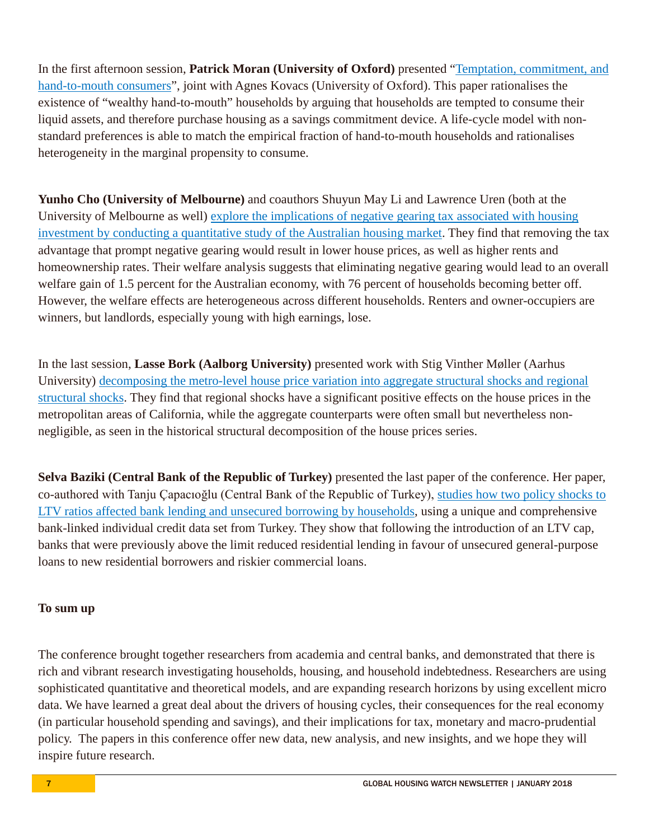In the first afternoon session, **Patrick Moran (University of Oxford)** presented ["Temptation, commitment, and](https://www.rbnz.govt.nz/-/media/ReserveBank/Files/Publications/Seminars%20and%20workshops/Housing-household-debt-and-policy-conference-2017/Session%20pdfs/Session%207Temptation%20Commitment%20and%20HandtoMouth%20ConsumersPatrick%20Moran.pdf?la=en)  [hand-to-mouth consumers"](https://www.rbnz.govt.nz/-/media/ReserveBank/Files/Publications/Seminars%20and%20workshops/Housing-household-debt-and-policy-conference-2017/Session%20pdfs/Session%207Temptation%20Commitment%20and%20HandtoMouth%20ConsumersPatrick%20Moran.pdf?la=en), joint with Agnes Kovacs (University of Oxford). This paper rationalises the existence of "wealthy hand-to-mouth" households by arguing that households are tempted to consume their liquid assets, and therefore purchase housing as a savings commitment device. A life-cycle model with nonstandard preferences is able to match the empirical fraction of hand-to-mouth households and rationalises heterogeneity in the marginal propensity to consume.

**Yunho Cho (University of Melbourne)** and coauthors Shuyun May Li and Lawrence Uren (both at the University of Melbourne as well) [explore the implications of negative gearing tax associated with housing](https://www.rbnz.govt.nz/-/media/ReserveBank/Files/Publications/Seminars%20and%20workshops/Housing-household-debt-and-policy-conference-2017/Session%20pdfs/Session%207_Paper%202%20Negative%20Gearing%20Tax%20and%20Welfare_Cho%20Li%20Uren.pdf?la=en)  [investment by conducting a quantitative study of the Australian housing market.](https://www.rbnz.govt.nz/-/media/ReserveBank/Files/Publications/Seminars%20and%20workshops/Housing-household-debt-and-policy-conference-2017/Session%20pdfs/Session%207_Paper%202%20Negative%20Gearing%20Tax%20and%20Welfare_Cho%20Li%20Uren.pdf?la=en) They find that removing the tax advantage that prompt negative gearing would result in lower house prices, as well as higher rents and homeownership rates. Their welfare analysis suggests that eliminating negative gearing would lead to an overall welfare gain of 1.5 percent for the Australian economy, with 76 percent of households becoming better off. However, the welfare effects are heterogeneous across different households. Renters and owner-occupiers are winners, but landlords, especially young with high earnings, lose.

In the last session, **Lasse Bork (Aalborg University)** presented work with Stig Vinther Møller (Aarhus University) [decomposing the metro-level house price variation into aggregate structural shocks and regional](https://www.rbnz.govt.nz/-/media/ReserveBank/Files/Publications/Seminars%20and%20workshops/Housing-household-debt-and-policy-conference-2017/Session%20pdfs/Session%208_What%20Drives%20Metrolpolitan%20House%20Prices%20in%20Caliornia_Lasse%20Bork.pdf?la=en)  [structural shocks.](https://www.rbnz.govt.nz/-/media/ReserveBank/Files/Publications/Seminars%20and%20workshops/Housing-household-debt-and-policy-conference-2017/Session%20pdfs/Session%208_What%20Drives%20Metrolpolitan%20House%20Prices%20in%20Caliornia_Lasse%20Bork.pdf?la=en) They find that regional shocks have a significant positive effects on the house prices in the metropolitan areas of California, while the aggregate counterparts were often small but nevertheless nonnegligible, as seen in the historical structural decomposition of the house prices series.

**Selva Baziki (Central Bank of the Republic of Turkey)** presented the last paper of the conference. Her paper, co-authored with Tanju Çapacıoğlu (Central Bank of the Republic of Turkey), [studies how two policy shocks to](https://www.rbnz.govt.nz/-/media/ReserveBank/Files/Publications/Seminars%20and%20workshops/Housing-household-debt-and-policy-conference-2017/Session%20pdfs/Session%208LoantoValue%20Caps%20Banking%20LendingSelva%20Baziki.pdf?la=en)  LTV ratios affected [bank lending and unsecured borrowing by households,](https://www.rbnz.govt.nz/-/media/ReserveBank/Files/Publications/Seminars%20and%20workshops/Housing-household-debt-and-policy-conference-2017/Session%20pdfs/Session%208LoantoValue%20Caps%20Banking%20LendingSelva%20Baziki.pdf?la=en) using a unique and comprehensive bank-linked individual credit data set from Turkey. They show that following the introduction of an LTV cap, banks that were previously above the limit reduced residential lending in favour of unsecured general-purpose loans to new residential borrowers and riskier commercial loans.

#### **To sum up**

The conference brought together researchers from academia and central banks, and demonstrated that there is rich and vibrant research investigating households, housing, and household indebtedness. Researchers are using sophisticated quantitative and theoretical models, and are expanding research horizons by using excellent micro data. We have learned a great deal about the drivers of housing cycles, their consequences for the real economy (in particular household spending and savings), and their implications for tax, monetary and macro-prudential policy. The papers in this conference offer new data, new analysis, and new insights, and we hope they will inspire future research.